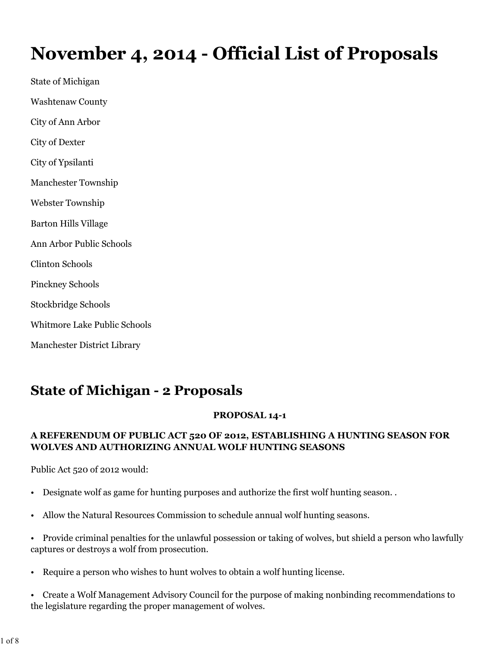# **November 4, 2014 - Official List of Proposals**

State of Michigan Washtenaw County City of Ann Arbor City of Dexter City of Ypsilanti Manchester Township Webster Township Barton Hills Village Ann Arbor Public Schools Clinton Schools Pinckney Schools Stockbridge Schools Whitmore Lake Public Schools Manchester District Library

# **State of Michigan - 2 Proposals**

#### **PROPOSAL 14-1**

#### **A REFERENDUM OF PUBLIC ACT 520 OF 2012, ESTABLISHING A HUNTING SEASON FOR WOLVES AND AUTHORIZING ANNUAL WOLF HUNTING SEASONS**

Public Act 520 of 2012 would:

- Designate wolf as game for hunting purposes and authorize the first wolf hunting season. .
- Allow the Natural Resources Commission to schedule annual wolf hunting seasons.
- Provide criminal penalties for the unlawful possession or taking of wolves, but shield a person who lawfully captures or destroys a wolf from prosecution.
- Require a person who wishes to hunt wolves to obtain a wolf hunting license.
- Create a Wolf Management Advisory Council for the purpose of making nonbinding recommendations to the legislature regarding the proper management of wolves.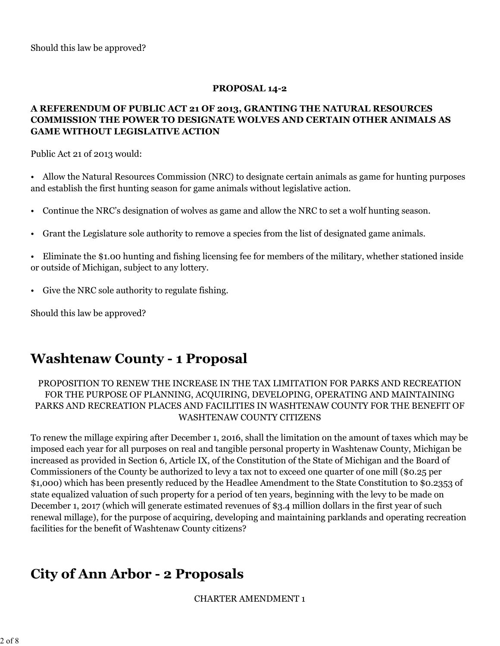Should this law be approved?

#### **PROPOSAL 14-2**

#### **A REFERENDUM OF PUBLIC ACT 21 OF 2013, GRANTING THE NATURAL RESOURCES COMMISSION THE POWER TO DESIGNATE WOLVES AND CERTAIN OTHER ANIMALS AS GAME WITHOUT LEGISLATIVE ACTION**

Public Act 21 of 2013 would:

• Allow the Natural Resources Commission (NRC) to designate certain animals as game for hunting purposes and establish the first hunting season for game animals without legislative action.

- Continue the NRC's designation of wolves as game and allow the NRC to set a wolf hunting season.
- Grant the Legislature sole authority to remove a species from the list of designated game animals.

• Eliminate the \$1.00 hunting and fishing licensing fee for members of the military, whether stationed inside or outside of Michigan, subject to any lottery.

• Give the NRC sole authority to regulate fishing.

Should this law be approved?

### **Washtenaw County - 1 Proposal**

#### PROPOSITION TO RENEW THE INCREASE IN THE TAX LIMITATION FOR PARKS AND RECREATION FOR THE PURPOSE OF PLANNING, ACQUIRING, DEVELOPING, OPERATING AND MAINTAINING PARKS AND RECREATION PLACES AND FACILITIES IN WASHTENAW COUNTY FOR THE BENEFIT OF WASHTENAW COUNTY CITIZENS

To renew the millage expiring after December 1, 2016, shall the limitation on the amount of taxes which may be imposed each year for all purposes on real and tangible personal property in Washtenaw County, Michigan be increased as provided in Section 6, Article IX, of the Constitution of the State of Michigan and the Board of Commissioners of the County be authorized to levy a tax not to exceed one quarter of one mill (\$0.25 per \$1,000) which has been presently reduced by the Headlee Amendment to the State Constitution to \$0.2353 of state equalized valuation of such property for a period of ten years, beginning with the levy to be made on December 1, 2017 (which will generate estimated revenues of \$3.4 million dollars in the first year of such renewal millage), for the purpose of acquiring, developing and maintaining parklands and operating recreation facilities for the benefit of Washtenaw County citizens?

# **City of Ann Arbor - 2 Proposals**

CHARTER AMENDMENT 1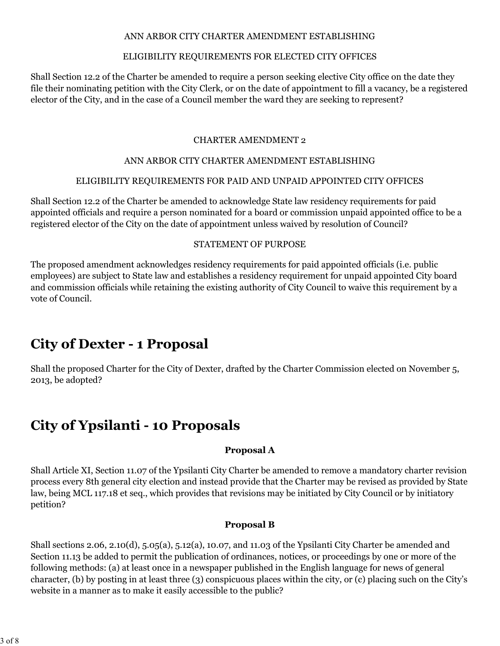#### ANN ARBOR CITY CHARTER AMENDMENT ESTABLISHING

#### ELIGIBILITY REQUIREMENTS FOR ELECTED CITY OFFICES

Shall Section 12.2 of the Charter be amended to require a person seeking elective City office on the date they file their nominating petition with the City Clerk, or on the date of appointment to fill a vacancy, be a registered elector of the City, and in the case of a Council member the ward they are seeking to represent?

#### CHARTER AMENDMENT 2

#### ANN ARBOR CITY CHARTER AMENDMENT ESTABLISHING

#### ELIGIBILITY REQUIREMENTS FOR PAID AND UNPAID APPOINTED CITY OFFICES

Shall Section 12.2 of the Charter be amended to acknowledge State law residency requirements for paid appointed officials and require a person nominated for a board or commission unpaid appointed office to be a registered elector of the City on the date of appointment unless waived by resolution of Council?

#### STATEMENT OF PURPOSE

The proposed amendment acknowledges residency requirements for paid appointed officials (i.e. public employees) are subject to State law and establishes a residency requirement for unpaid appointed City board and commission officials while retaining the existing authority of City Council to waive this requirement by a vote of Council.

# **City of Dexter - 1 Proposal**

Shall the proposed Charter for the City of Dexter, drafted by the Charter Commission elected on November 5, 2013, be adopted?

# **City of Ypsilanti - 10 Proposals**

#### **Proposal A**

Shall Article XI, Section 11.07 of the Ypsilanti City Charter be amended to remove a mandatory charter revision process every 8th general city election and instead provide that the Charter may be revised as provided by State law, being MCL 117.18 et seq., which provides that revisions may be initiated by City Council or by initiatory petition?

#### **Proposal B**

Shall sections 2.06, 2.10(d), 5.05(a), 5.12(a), 10.07, and 11.03 of the Ypsilanti City Charter be amended and Section 11.13 be added to permit the publication of ordinances, notices, or proceedings by one or more of the following methods: (a) at least once in a newspaper published in the English language for news of general character, (b) by posting in at least three (3) conspicuous places within the city, or (c) placing such on the City's website in a manner as to make it easily accessible to the public?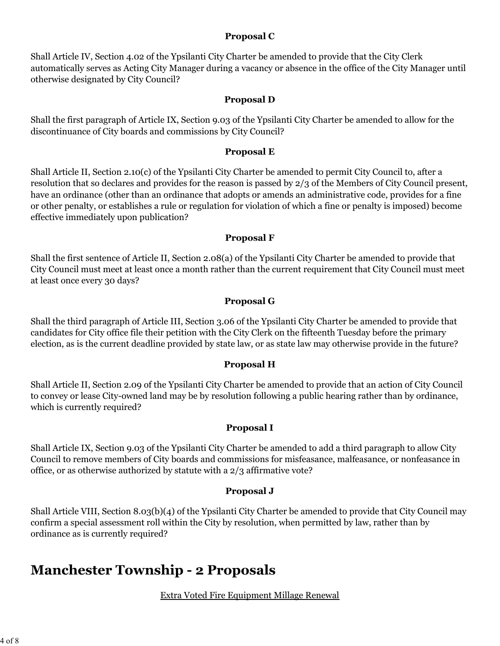#### **Proposal C**

Shall Article IV, Section 4.02 of the Ypsilanti City Charter be amended to provide that the City Clerk automatically serves as Acting City Manager during a vacancy or absence in the office of the City Manager until otherwise designated by City Council?

#### **Proposal D**

Shall the first paragraph of Article IX, Section 9.03 of the Ypsilanti City Charter be amended to allow for the discontinuance of City boards and commissions by City Council?

#### **Proposal E**

Shall Article II, Section 2.10(c) of the Ypsilanti City Charter be amended to permit City Council to, after a resolution that so declares and provides for the reason is passed by 2/3 of the Members of City Council present, have an ordinance (other than an ordinance that adopts or amends an administrative code, provides for a fine or other penalty, or establishes a rule or regulation for violation of which a fine or penalty is imposed) become effective immediately upon publication?

#### **Proposal F**

Shall the first sentence of Article II, Section 2.08(a) of the Ypsilanti City Charter be amended to provide that City Council must meet at least once a month rather than the current requirement that City Council must meet at least once every 30 days?

#### **Proposal G**

Shall the third paragraph of Article III, Section 3.06 of the Ypsilanti City Charter be amended to provide that candidates for City office file their petition with the City Clerk on the fifteenth Tuesday before the primary election, as is the current deadline provided by state law, or as state law may otherwise provide in the future?

#### **Proposal H**

Shall Article II, Section 2.09 of the Ypsilanti City Charter be amended to provide that an action of City Council to convey or lease City-owned land may be by resolution following a public hearing rather than by ordinance, which is currently required?

#### **Proposal I**

Shall Article IX, Section 9.03 of the Ypsilanti City Charter be amended to add a third paragraph to allow City Council to remove members of City boards and commissions for misfeasance, malfeasance, or nonfeasance in office, or as otherwise authorized by statute with a 2/3 affirmative vote?

#### **Proposal J**

Shall Article VIII, Section 8.03(b)(4) of the Ypsilanti City Charter be amended to provide that City Council may confirm a special assessment roll within the City by resolution, when permitted by law, rather than by ordinance as is currently required?

### **Manchester Township - 2 Proposals**

Extra Voted Fire Equipment Millage Renewal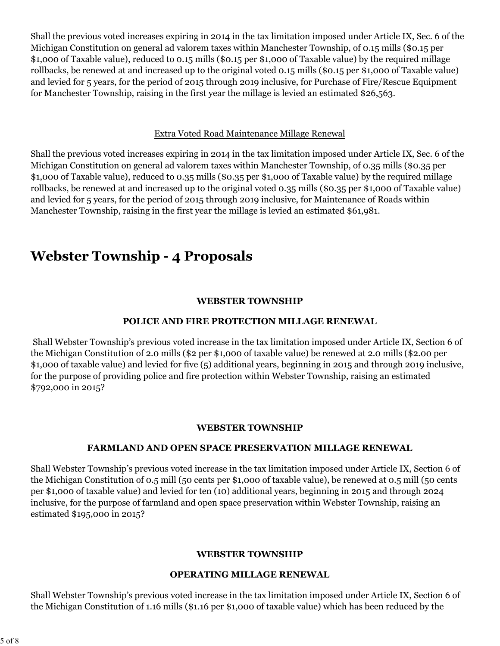Shall the previous voted increases expiring in 2014 in the tax limitation imposed under Article IX, Sec. 6 of the Michigan Constitution on general ad valorem taxes within Manchester Township, of 0.15 mills (\$0.15 per \$1,000 of Taxable value), reduced to 0.15 mills (\$0.15 per \$1,000 of Taxable value) by the required millage rollbacks, be renewed at and increased up to the original voted 0.15 mills (\$0.15 per \$1,000 of Taxable value) and levied for 5 years, for the period of 2015 through 2019 inclusive, for Purchase of Fire/Rescue Equipment for Manchester Township, raising in the first year the millage is levied an estimated \$26,563.

#### Extra Voted Road Maintenance Millage Renewal

Shall the previous voted increases expiring in 2014 in the tax limitation imposed under Article IX, Sec. 6 of the Michigan Constitution on general ad valorem taxes within Manchester Township, of 0.35 mills (\$0.35 per \$1,000 of Taxable value), reduced to 0.35 mills (\$0.35 per \$1,000 of Taxable value) by the required millage rollbacks, be renewed at and increased up to the original voted 0.35 mills (\$0.35 per \$1,000 of Taxable value) and levied for 5 years, for the period of 2015 through 2019 inclusive, for Maintenance of Roads within Manchester Township, raising in the first year the millage is levied an estimated \$61,981.

# **Webster Township - 4 Proposals**

#### **WEBSTER TOWNSHIP**

#### **POLICE AND FIRE PROTECTION MILLAGE RENEWAL**

 Shall Webster Township's previous voted increase in the tax limitation imposed under Article IX, Section 6 of the Michigan Constitution of 2.0 mills (\$2 per \$1,000 of taxable value) be renewed at 2.0 mills (\$2.00 per \$1,000 of taxable value) and levied for five (5) additional years, beginning in 2015 and through 2019 inclusive, for the purpose of providing police and fire protection within Webster Township, raising an estimated \$792,000 in 2015?

#### **WEBSTER TOWNSHIP**

#### **FARMLAND AND OPEN SPACE PRESERVATION MILLAGE RENEWAL**

Shall Webster Township's previous voted increase in the tax limitation imposed under Article IX, Section 6 of the Michigan Constitution of 0.5 mill (50 cents per \$1,000 of taxable value), be renewed at 0.5 mill (50 cents per \$1,000 of taxable value) and levied for ten (10) additional years, beginning in 2015 and through 2024 inclusive, for the purpose of farmland and open space preservation within Webster Township, raising an estimated \$195,000 in 2015?

#### **WEBSTER TOWNSHIP**

#### **OPERATING MILLAGE RENEWAL**

Shall Webster Township's previous voted increase in the tax limitation imposed under Article IX, Section 6 of the Michigan Constitution of 1.16 mills (\$1.16 per \$1,000 of taxable value) which has been reduced by the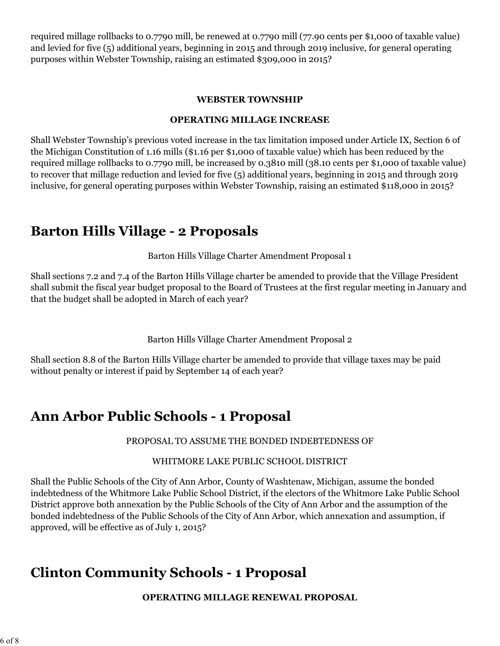required millage rollbacks to 0.7790 mill, be renewed at 0.7790 mill (77.90 cents per \$1,000 of taxable value) and levied for five (5) additional years, beginning in 2015 and through 2019 inclusive, for general operating purposes within Webster Township, raising an estimated \$309,000 in 2015?

#### **WEBSTER TOWNSHIP**

#### **OPERATING MILLAGE INCREASE**

Shall Webster Township's previous voted increase in the tax limitation imposed under Article IX, Section 6 of the Michigan Constitution of 1.16 mills (\$1.16 per \$1,000 of taxable value) which has been reduced by the required millage rollbacks to 0.7790 mill, be increased by 0.3810 mill (38.10 cents per \$1,000 of taxable value) to recover that millage reduction and levied for five (5) additional years, beginning in 2015 and through 2019 inclusive, for general operating purposes within Webster Township, raising an estimated \$118,000 in 2015?

### **Barton Hills Village - 2 Proposals**

Barton Hills Village Charter Amendment Proposal 1

Shall sections 7.2 and 7.4 of the Barton Hills Village charter be amended to provide that the Village President shall submit the fiscal year budget proposal to the Board of Trustees at the first regular meeting in January and that the budget shall be adopted in March of each year?

Barton Hills Village Charter Amendment Proposal 2

Shall section 8.8 of the Barton Hills Village charter be amended to provide that village taxes may be paid without penalty or interest if paid by September 14 of each year?

### **Ann Arbor Public Schools - 1 Proposal**

PROPOSAL TO ASSUME THE BONDED INDEBTEDNESS OF

#### WHITMORE LAKE PUBLIC SCHOOL DISTRICT

Shall the Public Schools of the City of Ann Arbor, County of Washtenaw, Michigan, assume the bonded indebtedness of the Whitmore Lake Public School District, if the electors of the Whitmore Lake Public School District approve both annexation by the Public Schools of the City of Ann Arbor and the assumption of the bonded indebtedness of the Public Schools of the City of Ann Arbor, which annexation and assumption, if approved, will be effective as of July 1, 2015?

### **Clinton Community Schools - 1 Proposal**

**OPERATING MILLAGE RENEWAL PROPOSAL**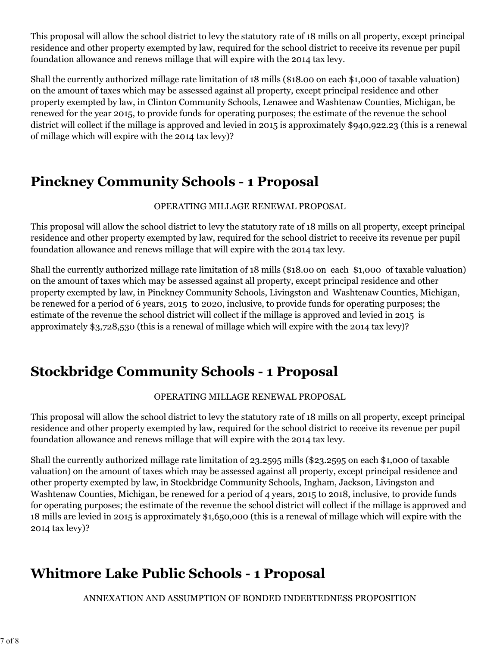This proposal will allow the school district to levy the statutory rate of 18 mills on all property, except principal residence and other property exempted by law, required for the school district to receive its revenue per pupil foundation allowance and renews millage that will expire with the 2014 tax levy.

Shall the currently authorized millage rate limitation of 18 mills (\$18.00 on each \$1,000 of taxable valuation) on the amount of taxes which may be assessed against all property, except principal residence and other property exempted by law, in Clinton Community Schools, Lenawee and Washtenaw Counties, Michigan, be renewed for the year 2015, to provide funds for operating purposes; the estimate of the revenue the school district will collect if the millage is approved and levied in 2015 is approximately \$940,922.23 (this is a renewal of millage which will expire with the 2014 tax levy)?

# **Pinckney Community Schools - 1 Proposal**

#### OPERATING MILLAGE RENEWAL PROPOSAL

This proposal will allow the school district to levy the statutory rate of 18 mills on all property, except principal residence and other property exempted by law, required for the school district to receive its revenue per pupil foundation allowance and renews millage that will expire with the 2014 tax levy.

Shall the currently authorized millage rate limitation of 18 mills (\$18.00 on each \$1,000 of taxable valuation) on the amount of taxes which may be assessed against all property, except principal residence and other property exempted by law, in Pinckney Community Schools, Livingston and Washtenaw Counties, Michigan, be renewed for a period of 6 years, 2015 to 2020, inclusive, to provide funds for operating purposes; the estimate of the revenue the school district will collect if the millage is approved and levied in 2015 is approximately \$3,728,530 (this is a renewal of millage which will expire with the 2014 tax levy)?

# **Stockbridge Community Schools - 1 Proposal**

#### OPERATING MILLAGE RENEWAL PROPOSAL

This proposal will allow the school district to levy the statutory rate of 18 mills on all property, except principal residence and other property exempted by law, required for the school district to receive its revenue per pupil foundation allowance and renews millage that will expire with the 2014 tax levy.

Shall the currently authorized millage rate limitation of 23.2595 mills (\$23.2595 on each \$1,000 of taxable valuation) on the amount of taxes which may be assessed against all property, except principal residence and other property exempted by law, in Stockbridge Community Schools, Ingham, Jackson, Livingston and Washtenaw Counties, Michigan, be renewed for a period of 4 years, 2015 to 2018, inclusive, to provide funds for operating purposes; the estimate of the revenue the school district will collect if the millage is approved and 18 mills are levied in 2015 is approximately \$1,650,000 (this is a renewal of millage which will expire with the 2014 tax levy)?

# **Whitmore Lake Public Schools - 1 Proposal**

ANNEXATION AND ASSUMPTION OF BONDED INDEBTEDNESS PROPOSITION